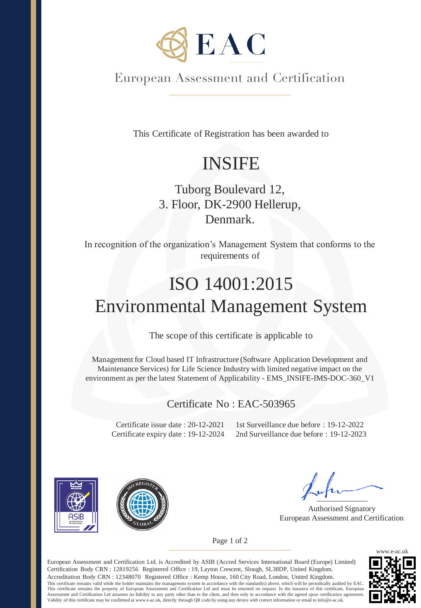

European Assessment and Certification

This Certificate of Registration has been awarded to

## INSIFE

## Tuborg Boulevard 12, 3. Floor, DK-2900 Hellerup, Denmark.

In recognition of the organization's Management System that conforms to the requirements of

# ISO 14001:2015 Environmental Management System

The scope of this certificate is applicable to

Management for Cloud based IT Infrastructure (Software Application Development and Maintenance Services) for Life Science Industry with limited negative impact on the environment as per the latest Statement of Applicability - EMS\_INSIFE-IMS-DOC-360\_V1

#### Certificate No : EAC-503965

Certificate issue date : 20-12-2021 Certificate expiry date : 19-12-2024

1st Surveillance due before : 19-12-2022 2nd Surveillance due before : 19-12-2023





Authorised Signatory European Assessment and Certification

Page 1 of 2

European Assessment and Certification Ltd. is Accredited by ASIB (Accred Services International Board (Europe) Limited) Certification Body CRN : 12819256 Registered Office : 19, Layton Crescent, Slough, SL38DP, United Kingdom. Accreditation Body CRN : 12348070 Registered Office : Kemp House, 160 City Road, London, United Kingdom. This certificate remains valid while the holder maintains the management system in accordance with the standard(s) above, which will be periodically audited by EAC. This certificate remains the property of European Assessment and Certification Ltd and must be returned on request. In the issuance of this certificate, European Assessment and Certification Ltd assumes no liability to any party other than to the client, and then only in accordance with the agreed upon certification agreement.<br>Validity of this certificate may be confirmed at www.e-